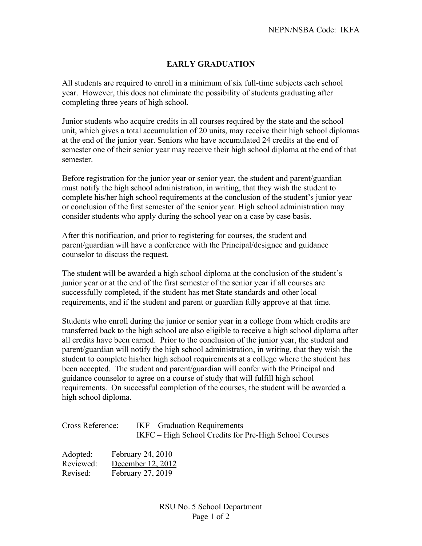## **EARLY GRADUATION**

All students are required to enroll in a minimum of six full-time subjects each school year. However, this does not eliminate the possibility of students graduating after completing three years of high school.

Junior students who acquire credits in all courses required by the state and the school unit, which gives a total accumulation of 20 units, may receive their high school diplomas at the end of the junior year. Seniors who have accumulated 24 credits at the end of semester one of their senior year may receive their high school diploma at the end of that semester.

Before registration for the junior year or senior year, the student and parent/guardian must notify the high school administration, in writing, that they wish the student to complete his/her high school requirements at the conclusion of the student's junior year or conclusion of the first semester of the senior year. High school administration may consider students who apply during the school year on a case by case basis.

After this notification, and prior to registering for courses, the student and parent/guardian will have a conference with the Principal/designee and guidance counselor to discuss the request.

The student will be awarded a high school diploma at the conclusion of the student's junior year or at the end of the first semester of the senior year if all courses are successfully completed, if the student has met State standards and other local requirements, and if the student and parent or guardian fully approve at that time.

Students who enroll during the junior or senior year in a college from which credits are transferred back to the high school are also eligible to receive a high school diploma after all credits have been earned. Prior to the conclusion of the junior year, the student and parent/guardian will notify the high school administration, in writing, that they wish the student to complete his/her high school requirements at a college where the student has been accepted. The student and parent/guardian will confer with the Principal and guidance counselor to agree on a course of study that will fulfill high school requirements. On successful completion of the courses, the student will be awarded a high school diploma.

| Cross Reference: | $IKF - Gradient$ Graduation Requirements<br>IKFC – High School Credits for Pre-High School Courses |
|------------------|----------------------------------------------------------------------------------------------------|
|                  |                                                                                                    |

| Adopted:  | February 24, 2010 |
|-----------|-------------------|
| Reviewed: | December 12, 2012 |
| Revised:  | February 27, 2019 |

RSU No. 5 School Department Page 1 of 2